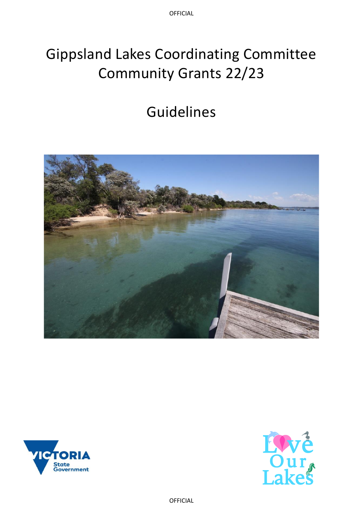OFFICIAL

# Gippsland Lakes Coordinating Committee Community Grants 22/23

# Guidelines





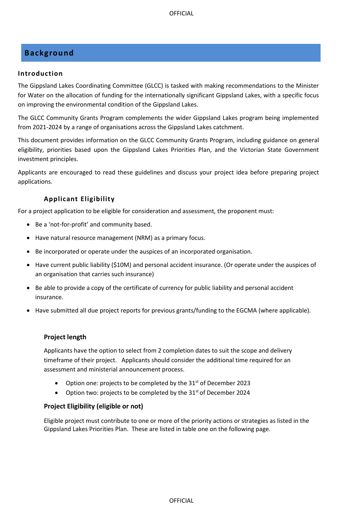# <span id="page-2-0"></span>**Background**

#### <span id="page-2-1"></span>**Introduction**

The Gippsland Lakes Coordinating Committee (GLCC) is tasked with making recommendations to the Minister for Water on the allocation of funding for the internationally significant Gippsland Lakes, with a specific focus on improving the environmental condition of the Gippsland Lakes.

The GLCC Community Grants Program complements the wider Gippsland Lakes program being implemented from 2021-2024 by a range of organisations across the Gippsland Lakes catchment.

This document provides information on the GLCC Community Grants Program, including guidance on general eligibility, priorities based upon the Gippsland Lakes Priorities Plan, and the Victorian State Government investment principles.

Applicants are encouraged to read these guidelines and discuss your project idea before preparing project applications.

## <span id="page-2-2"></span>**Applicant Eligibility**

For a project application to be eligible for consideration and assessment, the proponent must:

- Be a 'not-for-profit' and community based.
- Have natural resource management (NRM) as a primary focus.
- Be incorporated or operate under the auspices of an incorporated organisation.
- Have current public liability (\$10M) and personal accident insurance. (Or operate under the auspices of an organisation that carries such insurance)
- Be able to provide a copy of the certificate of currency for public liability and personal accident insurance.
- Have submitted all due project reports for previous grants/funding to the EGCMA (where applicable).

#### **Project length**

Applicants have the option to select from 2 completion dates to suit the scope and delivery timeframe of their project. Applicants should consider the additional time required for an assessment and ministerial announcement process.

- Option one: projects to be completed by the  $31<sup>st</sup>$  of December 2023
- Option two: projects to be completed by the  $31<sup>st</sup>$  of December 2024

#### **Project Eligibility (eligible or not)**

Eligible project must contribute to one or more of the priority actions or strategies as listed in the Gippsland Lakes Priorities Plan. These are listed in table one on the following page.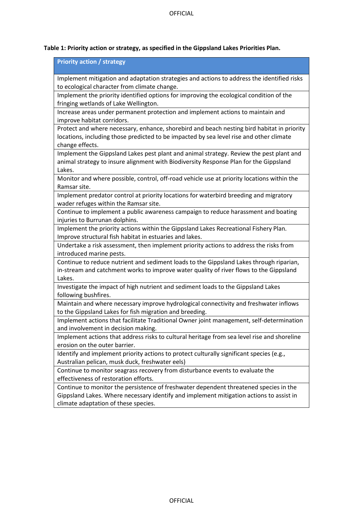# **Table 1: Priority action or strategy, as specified in the Gippsland Lakes Priorities Plan.**

| <b>Priority action / strategy</b>                                                                                                                                                |
|----------------------------------------------------------------------------------------------------------------------------------------------------------------------------------|
| Implement mitigation and adaptation strategies and actions to address the identified risks                                                                                       |
| to ecological character from climate change.                                                                                                                                     |
| Implement the priority identified options for improving the ecological condition of the                                                                                          |
| fringing wetlands of Lake Wellington.                                                                                                                                            |
| Increase areas under permanent protection and implement actions to maintain and                                                                                                  |
| improve habitat corridors.                                                                                                                                                       |
| Protect and where necessary, enhance, shorebird and beach nesting bird habitat in priority                                                                                       |
| locations, including those predicted to be impacted by sea level rise and other climate                                                                                          |
| change effects.                                                                                                                                                                  |
| Implement the Gippsland Lakes pest plant and animal strategy. Review the pest plant and                                                                                          |
| animal strategy to insure alignment with Biodiversity Response Plan for the Gippsland                                                                                            |
| Lakes.                                                                                                                                                                           |
| Monitor and where possible, control, off-road vehicle use at priority locations within the                                                                                       |
| Ramsar site.                                                                                                                                                                     |
| Implement predator control at priority locations for waterbird breeding and migratory<br>wader refuges within the Ramsar site.                                                   |
| Continue to implement a public awareness campaign to reduce harassment and boating                                                                                               |
| injuries to Burrunan dolphins.                                                                                                                                                   |
| Implement the priority actions within the Gippsland Lakes Recreational Fishery Plan.                                                                                             |
| Improve structural fish habitat in estuaries and lakes.                                                                                                                          |
| Undertake a risk assessment, then implement priority actions to address the risks from                                                                                           |
| introduced marine pests.                                                                                                                                                         |
| Continue to reduce nutrient and sediment loads to the Gippsland Lakes through riparian,                                                                                          |
| in-stream and catchment works to improve water quality of river flows to the Gippsland                                                                                           |
| Lakes.                                                                                                                                                                           |
| Investigate the impact of high nutrient and sediment loads to the Gippsland Lakes                                                                                                |
| following bushfires.                                                                                                                                                             |
| Maintain and where necessary improve hydrological connectivity and freshwater inflows                                                                                            |
| to the Gippsland Lakes for fish migration and breeding.                                                                                                                          |
| Implement actions that facilitate Traditional Owner joint management, self-determination                                                                                         |
| and involvement in decision making.                                                                                                                                              |
| Implement actions that address risks to cultural heritage from sea level rise and shoreline                                                                                      |
| erosion on the outer barrier.                                                                                                                                                    |
| Identify and implement priority actions to protect culturally significant species (e.g.,                                                                                         |
| Australian pelican, musk duck, freshwater eels)                                                                                                                                  |
| Continue to monitor seagrass recovery from disturbance events to evaluate the<br>effectiveness of restoration efforts.                                                           |
|                                                                                                                                                                                  |
| Continue to monitor the persistence of freshwater dependent threatened species in the<br>Gippsland Lakes. Where necessary identify and implement mitigation actions to assist in |
| climate adaptation of these species.                                                                                                                                             |
|                                                                                                                                                                                  |
|                                                                                                                                                                                  |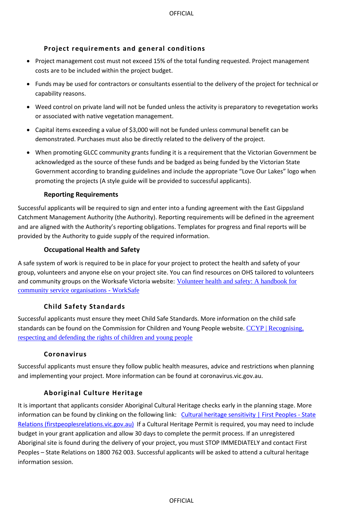# <span id="page-4-0"></span>**Project requirements and general conditions**

- Project management cost must not exceed 15% of the total funding requested. Project management costs are to be included within the project budget.
- Funds may be used for contractors or consultants essential to the delivery of the project for technical or capability reasons.
- Weed control on private land will not be funded unless the activity is preparatory to revegetation works or associated with native vegetation management.
- Capital items exceeding a value of \$3,000 will not be funded unless communal benefit can be demonstrated. Purchases must also be directly related to the delivery of the project.
- When promoting GLCC community grants funding it is a requirement that the Victorian Government be acknowledged as the source of these funds and be badged as being funded by the Victorian State Government according to branding guidelines and include the appropriate "Love Our Lakes" logo when promoting the projects (A style guide will be provided to successful applicants).

#### **Reporting Requirements**

Successful applicants will be required to sign and enter into a funding agreement with the East Gippsland Catchment Management Authority (the Authority). Reporting requirements will be defined in the agreement and are aligned with the Authority's reporting obligations. Templates for progress and final reports will be provided by the Authority to guide supply of the required information.

## **Occupational Health and Safety**

A safe system of work is required to be in place for your project to protect the health and safety of your group, volunteers and anyone else on your project site. You can find resources on OHS tailored to volunteers and community groups on the Worksafe Victoria website: [Volunteer health and safety: A handbook for](https://www.worksafe.vic.gov.au/resources/volunteer-health-and-safety-handbook-community-service-organisations)  [community service organisations -](https://www.worksafe.vic.gov.au/resources/volunteer-health-and-safety-handbook-community-service-organisations) WorkSafe

# <span id="page-4-1"></span>**Child Safety Standards**

Successful applicants must ensure they meet Child Safe Standards. More information on the child safe standards can be found on the Commission for Children and Young People website. CCYP | Recognising, [respecting and defending the rights of children and young people](https://ccyp.vic.gov.au/)

#### <span id="page-4-2"></span>**Coronavirus**

Successful applicants must ensure they follow public health measures, advice and restrictions when planning and implementing your project. More information can be found at coronavirus.vic.gov.au.

# <span id="page-4-3"></span>**Aboriginal Culture Heritage**

It is important that applicants consider Aboriginal Cultural Heritage checks early in the planning stage. More information can be found by clinking on the following link: [Cultural heritage sensitivity | First Peoples -](https://www.firstpeoplesrelations.vic.gov.au/cultural-heritage-sensitivity) State [Relations \(firstpeoplesrelations.vic.gov.au\)](https://www.firstpeoplesrelations.vic.gov.au/cultural-heritage-sensitivity) If a Cultural Heritage Permit is required, you may need to include budget in your grant application and allow 30 days to complete the permit process. If an unregistered Aboriginal site is found during the delivery of your project, you must STOP IMMEDIATELY and contact First Peoples – State Relations on 1800 762 003. Successful applicants will be asked to attend a cultural heritage information session.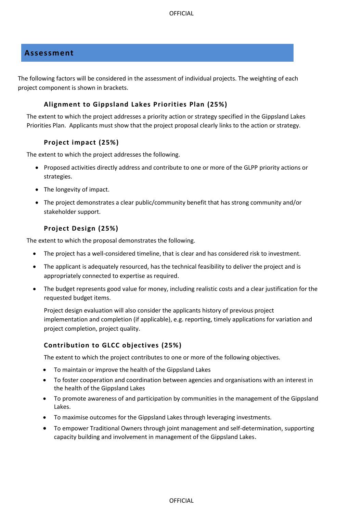# <span id="page-5-0"></span>**Assessment**

The following factors will be considered in the assessment of individual projects. The weighting of each project component is shown in brackets.

### <span id="page-5-1"></span>**Alignment to Gippsland Lakes Priorities Plan (25%)**

The extent to which the project addresses a priority action or strategy specified in the Gippsland Lakes Priorities Plan. Applicants must show that the project proposal clearly links to the action or strategy.

## <span id="page-5-2"></span>**Project impact (25%)**

The extent to which the project addresses the following.

- Proposed activities directly address and contribute to one or more of the GLPP priority actions or strategies.
- The longevity of impact.
- The project demonstrates a clear public/community benefit that has strong community and/or stakeholder support.

# <span id="page-5-3"></span>**Project Design (25%)**

The extent to which the proposal demonstrates the following.

- The project has a well-considered timeline, that is clear and has considered risk to investment.
- The applicant is adequately resourced, has the technical feasibility to deliver the project and is appropriately connected to expertise as required.
- The budget represents good value for money, including realistic costs and a clear justification for the requested budget items.

Project design evaluation will also consider the applicants history of previous project implementation and completion (if applicable), e.g. reporting, timely applications for variation and project completion, project quality.

# <span id="page-5-4"></span>**Contribution to GLCC objectives (25%)**

The extent to which the project contributes to one or more of the following objectives.

- To maintain or improve the health of the Gippsland Lakes
- To foster cooperation and coordination between agencies and organisations with an interest in the health of the Gippsland Lakes
- To promote awareness of and participation by communities in the management of the Gippsland Lakes.
- To maximise outcomes for the Gippsland Lakes through leveraging investments.
- To empower Traditional Owners through joint management and self-determination, supporting capacity building and involvement in management of the Gippsland Lakes.